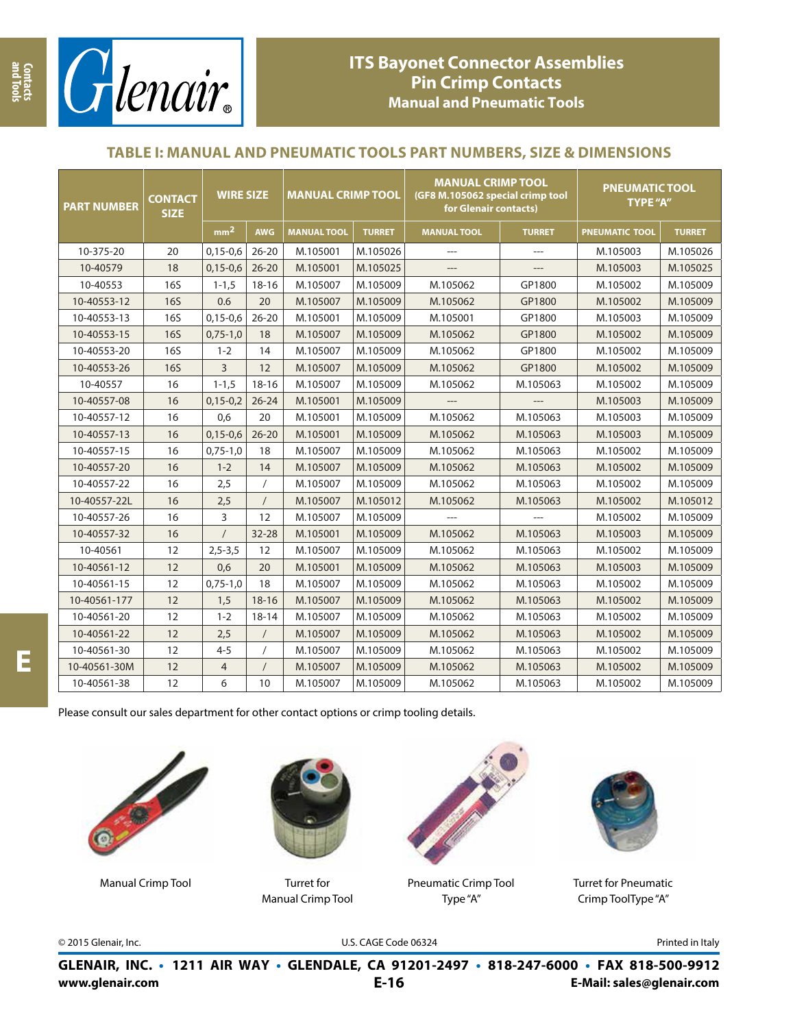

# **ITS Bayonet Connector Assemblies Pin Crimp Contacts Manual and Pneumatic Tools**

### **TABLE I: MANUAL AND PNEUMATIC TOOLS PART NUMBERS, SIZE & DIMENSIONS**

| <b>PART NUMBER</b> | <b>CONTACT</b><br><b>SIZE</b> | <b>WIRE SIZE</b> |            | <b>MANUAL CRIMP TOOL</b> |               | <b>MANUAL CRIMP TOOL</b><br>(GF8 M.105062 special crimp tool<br>for Glenair contacts) |               | <b>PNEUMATIC TOOL</b><br><b>TYPE "A"</b> |               |
|--------------------|-------------------------------|------------------|------------|--------------------------|---------------|---------------------------------------------------------------------------------------|---------------|------------------------------------------|---------------|
|                    |                               | mm <sup>2</sup>  | <b>AWG</b> | <b>MANUAL TOOL</b>       | <b>TURRET</b> | <b>MANUAL TOOL</b>                                                                    | <b>TURRET</b> | <b>PNEUMATIC TOOL</b>                    | <b>TURRET</b> |
| 10-375-20          | 20                            | $0,15-0,6$       | $26 - 20$  | M.105001                 | M.105026      |                                                                                       |               | M.105003                                 | M.105026      |
| 10-40579           | 18                            | $0,15-0,6$       | $26 - 20$  | M.105001                 | M.105025      | ---                                                                                   |               | M.105003                                 | M.105025      |
| 10-40553           | <b>16S</b>                    | $1 - 1, 5$       | $18 - 16$  | M.105007                 | M.105009      | M.105062                                                                              | GP1800        | M.105002                                 | M.105009      |
| 10-40553-12        | <b>16S</b>                    | 0.6              | 20         | M.105007                 | M.105009      | M.105062                                                                              | GP1800        | M.105002                                 | M.105009      |
| 10-40553-13        | <b>16S</b>                    | $0,15-0,6$       | $26 - 20$  | M.105001                 | M.105009      | M.105001                                                                              | GP1800        | M.105003                                 | M.105009      |
| 10-40553-15        | <b>16S</b>                    | $0,75-1,0$       | 18         | M.105007                 | M.105009      | M.105062                                                                              | GP1800        | M.105002                                 | M.105009      |
| 10-40553-20        | <b>16S</b>                    | $1 - 2$          | 14         | M.105007                 | M.105009      | M.105062                                                                              | GP1800        | M.105002                                 | M.105009      |
| 10-40553-26        | <b>16S</b>                    | 3                | 12         | M.105007                 | M.105009      | M.105062                                                                              | GP1800        | M.105002                                 | M.105009      |
| 10-40557           | 16                            | $1 - 1, 5$       | $18 - 16$  | M.105007                 | M.105009      | M.105062                                                                              | M.105063      | M.105002                                 | M.105009      |
| 10-40557-08        | 16                            | $0,15-0,2$       | $26 - 24$  | M.105001                 | M.105009      |                                                                                       |               | M.105003                                 | M.105009      |
| 10-40557-12        | 16                            | 0,6              | 20         | M.105001                 | M.105009      | M.105062                                                                              | M.105063      | M.105003                                 | M.105009      |
| 10-40557-13        | 16                            | $0,15-0,6$       | $26 - 20$  | M.105001                 | M.105009      | M.105062                                                                              | M.105063      | M.105003                                 | M.105009      |
| 10-40557-15        | 16                            | $0,75-1,0$       | 18         | M.105007                 | M.105009      | M.105062                                                                              | M.105063      | M.105002                                 | M.105009      |
| 10-40557-20        | 16                            | $1 - 2$          | 14         | M.105007                 | M.105009      | M.105062                                                                              | M.105063      | M.105002                                 | M.105009      |
| 10-40557-22        | 16                            | 2,5              |            | M.105007                 | M.105009      | M.105062                                                                              | M.105063      | M.105002                                 | M.105009      |
| 10-40557-22L       | 16                            | 2,5              | $\prime$   | M.105007                 | M.105012      | M.105062                                                                              | M.105063      | M.105002                                 | M.105012      |
| 10-40557-26        | 16                            | 3                | 12         | M.105007                 | M.105009      |                                                                                       |               | M.105002                                 | M.105009      |
| 10-40557-32        | 16                            | $\prime$         | 32-28      | M.105001                 | M.105009      | M.105062                                                                              | M.105063      | M.105003                                 | M.105009      |
| 10-40561           | 12                            | $2,5-3,5$        | 12         | M.105007                 | M.105009      | M.105062                                                                              | M.105063      | M.105002                                 | M.105009      |
| 10-40561-12        | 12                            | 0,6              | 20         | M.105001                 | M.105009      | M.105062                                                                              | M.105063      | M.105003                                 | M.105009      |
| 10-40561-15        | 12                            | $0,75-1,0$       | 18         | M.105007                 | M.105009      | M.105062                                                                              | M.105063      | M.105002                                 | M.105009      |
| 10-40561-177       | 12                            | 1,5              | $18 - 16$  | M.105007                 | M.105009      | M.105062                                                                              | M.105063      | M.105002                                 | M.105009      |
| 10-40561-20        | 12                            | $1 - 2$          | $18 - 14$  | M.105007                 | M.105009      | M.105062                                                                              | M.105063      | M.105002                                 | M.105009      |
| 10-40561-22        | 12                            | 2,5              | $\prime$   | M.105007                 | M.105009      | M.105062                                                                              | M.105063      | M.105002                                 | M.105009      |
| 10-40561-30        | 12                            | $4 - 5$          |            | M.105007                 | M.105009      | M.105062                                                                              | M.105063      | M.105002                                 | M.105009      |
| 10-40561-30M       | 12                            | 4                | $\prime$   | M.105007                 | M.105009      | M.105062                                                                              | M.105063      | M.105002                                 | M.105009      |
| 10-40561-38        | 12                            | 6                | 10         | M.105007                 | M.105009      | M.105062                                                                              | M.105063      | M.105002                                 | M.105009      |

Please consult our sales department for other contact options or crimp tooling details.



Manual Crimp Tool Turret for



Manual Crimp Tool



Pneumatic Crimp Tool Type "A"



Turret for Pneumatic Crimp ToolType "A"

© 2015 Glenair, Inc. U.S. CAGE Code 06324 Printed in Italy

**www.glenair.com E-Mail: sales@glenair.com GLENAIR, INC. • 1211 AIR WAY • GLENDALE, CA 91201-2497 • 818-247-6000 • FAX 818-500-9912 E-16**

**E**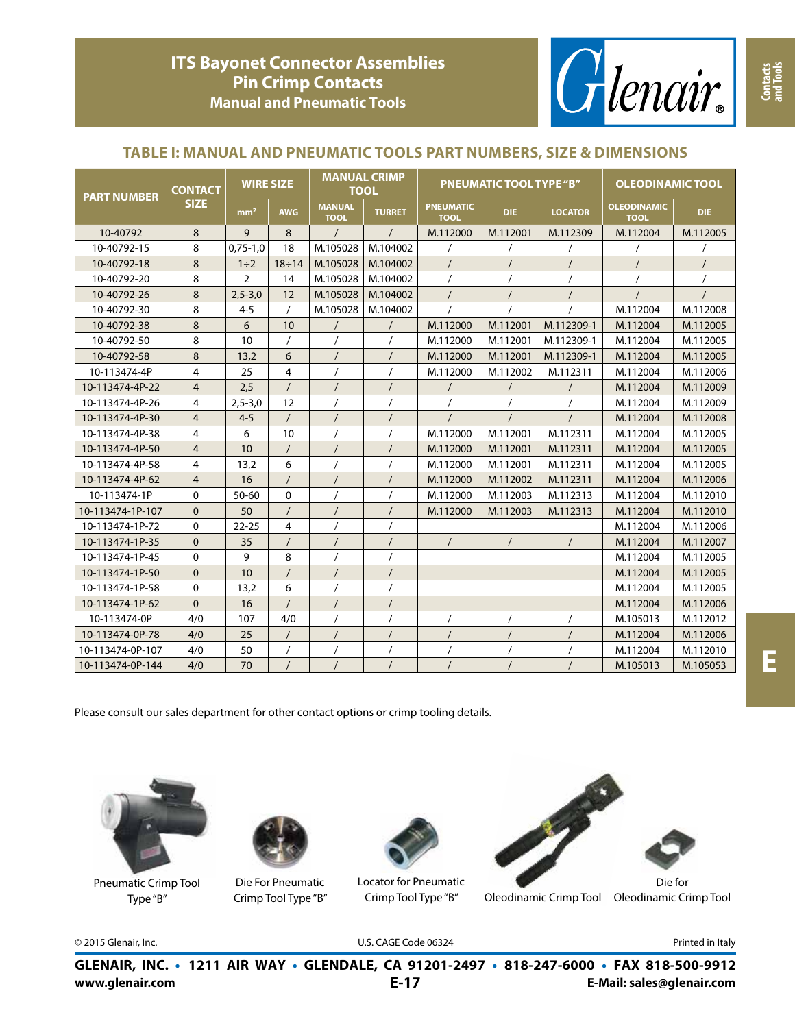

#### **TABLE I: MANUAL AND PNEUMATIC TOOLS PART NUMBERS, SIZE & DIMENSIONS**

| <b>PART NUMBER</b> | <b>CONTACT</b> | <b>WIRE SIZE</b> |              | <b>MANUAL CRIMP</b><br><b>TOOL</b> |               |                                 | <b>PNEUMATIC TOOL TYPE "B"</b> | <b>OLEODINAMIC TOOL</b> |                                   |            |
|--------------------|----------------|------------------|--------------|------------------------------------|---------------|---------------------------------|--------------------------------|-------------------------|-----------------------------------|------------|
|                    | <b>SIZE</b>    | mm <sup>2</sup>  | <b>AWG</b>   | <b>MANUAL</b><br><b>TOOL</b>       | <b>TURRET</b> | <b>PNEUMATIC</b><br><b>TOOL</b> | <b>DIE</b>                     | <b>LOCATOR</b>          | <b>OLEODINAMIC</b><br><b>TOOL</b> | <b>DIE</b> |
| 10-40792           | 8              | 9                | 8            | $\prime$                           | $\prime$      | M.112000                        | M.112001                       | M.112309                | M.112004                          | M.112005   |
| 10-40792-15        | 8              | $0,75-1,0$       | 18           | M.105028                           | M.104002      | 1                               |                                |                         |                                   |            |
| 10-40792-18        | 8              | $1\div 2$        | $18 \div 14$ | M.105028                           | M.104002      | $\prime$                        | $\prime$                       | $\prime$                |                                   |            |
| 10-40792-20        | 8              | $\overline{2}$   | 14           | M.105028                           | M.104002      |                                 |                                |                         |                                   |            |
| 10-40792-26        | 8              | $2,5 - 3,0$      | 12           | M.105028                           | M.104002      | $\prime$                        | $\prime$                       | $\prime$                |                                   |            |
| 10-40792-30        | 8              | $4 - 5$          | $\prime$     | M.105028                           | M.104002      |                                 |                                |                         | M.112004                          | M.112008   |
| 10-40792-38        | 8              | 6                | 10           |                                    | $\prime$      | M.112000                        | M.112001                       | M.112309-1              | M.112004                          | M.112005   |
| 10-40792-50        | 8              | 10               | $\prime$     |                                    |               | M.112000                        | M.112001                       | M.112309-1              | M.112004                          | M.112005   |
| 10-40792-58        | 8              | 13,2             | 6            |                                    |               | M.112000                        | M.112001                       | M.112309-1              | M.112004                          | M.112005   |
| 10-113474-4P       | 4              | 25               | 4            |                                    |               | M.112000                        | M.112002                       | M.112311                | M.112004                          | M.112006   |
| 10-113474-4P-22    | $\overline{4}$ | 2,5              | $\prime$     |                                    |               | $\sqrt{2}$                      | $\overline{1}$                 | $\prime$                | M.112004                          | M.112009   |
| 10-113474-4P-26    | 4              | $2,5 - 3,0$      | 12           |                                    |               |                                 | $\overline{1}$                 | $\prime$                | M.112004                          | M.112009   |
| 10-113474-4P-30    | $\overline{4}$ | $4 - 5$          | $\prime$     |                                    |               |                                 |                                |                         | M.112004                          | M.112008   |
| 10-113474-4P-38    | 4              | 6                | 10           |                                    |               | M.112000                        | M.112001                       | M.112311                | M.112004                          | M.112005   |
| 10-113474-4P-50    | $\overline{4}$ | 10               | $\prime$     | $\prime$                           |               | M.112000                        | M.112001                       | M.112311                | M.112004                          | M.112005   |
| 10-113474-4P-58    | 4              | 13,2             | 6            |                                    |               | M.112000                        | M.112001                       | M.112311                | M.112004                          | M.112005   |
| 10-113474-4P-62    | $\overline{4}$ | 16               | $\sqrt{2}$   | $\prime$                           |               | M.112000                        | M.112002                       | M.112311                | M.112004                          | M.112006   |
| 10-113474-1P       | $\Omega$       | $50 - 60$        | $\mathbf 0$  |                                    |               | M.112000                        | M.112003                       | M.112313                | M.112004                          | M.112010   |
| 10-113474-1P-107   | $\mathbf{0}$   | 50               | $\prime$     |                                    |               | M.112000                        | M.112003                       | M.112313                | M.112004                          | M.112010   |
| 10-113474-1P-72    | $\mathbf 0$    | $22 - 25$        | 4            | $\prime$                           |               |                                 |                                |                         | M.112004                          | M.112006   |
| 10-113474-1P-35    | $\mathbf{0}$   | 35               | $\prime$     |                                    | $\prime$      | $\prime$                        | $\prime$                       | $\prime$                | M.112004                          | M.112007   |
| 10-113474-1P-45    | $\mathbf 0$    | 9                | 8            |                                    |               |                                 |                                |                         | M.112004                          | M.112005   |
| 10-113474-1P-50    | $\mathbf{0}$   | 10               |              |                                    |               |                                 |                                |                         | M.112004                          | M.112005   |
| 10-113474-1P-58    | $\mathbf 0$    | 13,2             | 6            | $\prime$                           |               |                                 |                                |                         | M.112004                          | M.112005   |
| 10-113474-1P-62    | $\Omega$       | 16               | $\prime$     | $\prime$                           |               |                                 |                                |                         | M.112004                          | M.112006   |
| 10-113474-0P       | 4/0            | 107              | 4/0          |                                    |               |                                 |                                |                         | M.105013                          | M.112012   |
| 10-113474-0P-78    | 4/0            | 25               | $\prime$     | $\prime$                           |               | $\prime$                        | $\prime$                       | $\prime$                | M.112004                          | M.112006   |
| 10-113474-0P-107   | 4/0            | 50               | $\prime$     |                                    |               |                                 |                                | $\prime$                | M.112004                          | M.112010   |
| 10-113474-0P-144   | 4/0            | 70               | $\prime$     |                                    |               |                                 | $\prime$                       | $\prime$                | M.105013                          | M.105053   |

Please consult our sales department for other contact options or crimp tooling details.



Pneumatic Crimp Tool Type "B"



Die For Pneumatic Crimp Tool Type "B"



Locator for Pneumatic Crimp Tool Type "B"



Oleodinamic Crimp Tool Oleodinamic Crimp Tool

© 2015 Glenair, Inc. U.S. CAGE Code 06324 Printed in Italy

**GLENAIR, INC. • 1211 AIR WAY • GLENDALE, CA 91201-2497 • 818-247-6000 • FAX 818-500-9912**

**E**

**Contacts and Tools**

**E-17**

**www.glenair.com E-Mail: sales@glenair.com**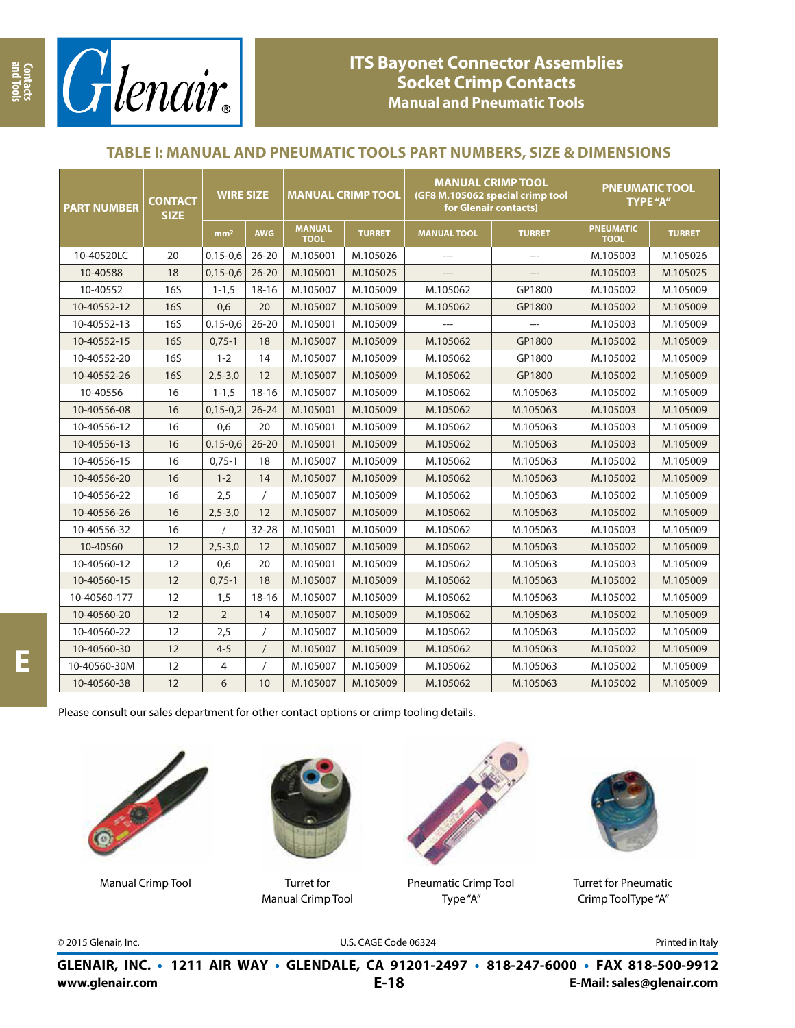

# **ITS Bayonet Connector Assemblies Socket Crimp Contacts Manual and Pneumatic Tools**

### **TABLE I: MANUAL AND PNEUMATIC TOOLS PART NUMBERS, SIZE & DIMENSIONS**

| <b>PART NUMBER</b> | <b>CONTACT</b><br><b>SIZE</b> | <b>WIRE SIZE</b> |            | <b>MANUAL CRIMP TOOL</b>     |               | <b>MANUAL CRIMP TOOL</b><br>(GF8 M.105062 special crimp tool<br>for Glenair contacts) |                | <b>PNEUMATIC TOOL</b><br>TYPE "A" |               |  |
|--------------------|-------------------------------|------------------|------------|------------------------------|---------------|---------------------------------------------------------------------------------------|----------------|-----------------------------------|---------------|--|
|                    |                               | mm <sup>2</sup>  | <b>AWG</b> | <b>MANUAL</b><br><b>TOOL</b> | <b>TURRET</b> | <b>MANUAL TOOL</b>                                                                    | <b>TURRET</b>  | <b>PNEUMATIC</b><br><b>TOOL</b>   | <b>TURRET</b> |  |
| 10-40520LC         | 20                            | $0,15-0,6$       | $26 - 20$  | M.105001                     | M.105026      | $\overline{a}$                                                                        | $\overline{a}$ | M.105003                          | M.105026      |  |
| 10-40588           | 18                            | $0,15-0,6$       | $26 - 20$  | M.105001                     | M.105025      |                                                                                       |                | M.105003                          | M.105025      |  |
| 10-40552           | <b>16S</b>                    | $1 - 1, 5$       | $18 - 16$  | M.105007                     | M.105009      | M.105062                                                                              | GP1800         |                                   | M.105009      |  |
| 10-40552-12        | <b>16S</b>                    | 0,6              | 20         | M.105007                     | M.105009      | M.105062                                                                              | GP1800         |                                   | M.105009      |  |
| 10-40552-13        | <b>16S</b>                    | $0,15-0,6$       | $26 - 20$  | M.105001                     | M.105009      |                                                                                       |                | M.105003                          | M.105009      |  |
| 10-40552-15        | <b>16S</b>                    | $0,75-1$         | 18         | M.105007                     | M.105009      | M.105062                                                                              | GP1800         | M.105002                          | M.105009      |  |
| 10-40552-20        | <b>16S</b>                    | $1 - 2$          | 14         | M.105007                     | M.105009      | M.105062                                                                              | GP1800         | M.105002                          | M.105009      |  |
| 10-40552-26        | <b>16S</b>                    | $2,5 - 3,0$      | 12         | M.105007                     | M.105009      | M.105062                                                                              | GP1800         | M.105002                          | M.105009      |  |
| 10-40556           | 16                            | $1 - 1, 5$       | $18 - 16$  | M.105007                     | M.105009      | M.105062                                                                              | M.105063       | M.105002                          | M.105009      |  |
| 10-40556-08        | 16                            | $0,15-0,2$       | $26 - 24$  | M.105001                     | M.105009      | M.105062                                                                              | M.105063       | M.105003                          | M.105009      |  |
| 10-40556-12        | 16                            | 0,6              | 20         | M.105001                     | M.105009      | M.105062                                                                              | M.105063       | M.105003                          | M.105009      |  |
| 10-40556-13        | 16                            | $0,15-0,6$       | $26 - 20$  | M.105001                     | M.105009      | M.105062                                                                              | M.105063       | M.105003                          | M.105009      |  |
| 10-40556-15        | 16                            | $0,75-1$         | 18         | M.105007                     | M.105009      | M.105062                                                                              | M.105063       | M.105002                          | M.105009      |  |
| 10-40556-20        | 16                            | $1 - 2$          | 14         | M.105007                     | M.105009      | M.105062                                                                              | M.105063       | M.105002                          | M.105009      |  |
| 10-40556-22        | 16                            | 2,5              | $\sqrt{2}$ | M.105007                     | M.105009      | M.105062                                                                              | M.105063       | M.105002                          | M.105009      |  |
| 10-40556-26        | 16                            | $2,5 - 3,0$      | 12         | M.105007                     | M.105009      | M.105062                                                                              | M.105063       | M.105002                          | M.105009      |  |
| 10-40556-32        | 16                            | $\prime$         | $32 - 28$  | M.105001                     | M.105009      | M.105062                                                                              | M.105063       | M.105003                          | M.105009      |  |
| 10-40560           | 12                            | $2,5 - 3,0$      | 12         | M.105007                     | M.105009      | M.105062                                                                              | M.105063       | M.105002                          | M.105009      |  |
| 10-40560-12        | 12                            | 0,6              | 20         | M.105001                     | M.105009      | M.105062                                                                              | M.105063       | M.105003                          | M.105009      |  |
| 10-40560-15        | 12                            | $0,75-1$         | 18         | M.105007                     | M.105009      | M.105062                                                                              | M.105063       | M.105002                          | M.105009      |  |
| 10-40560-177       | 12                            | 1,5              | $18 - 16$  | M.105007                     | M.105009      | M.105062                                                                              | M.105063       | M.105002                          | M.105009      |  |
| 10-40560-20        | 12                            | $\overline{2}$   | 14         | M.105007                     | M.105009      | M.105062                                                                              | M.105063       | M.105002                          | M.105009      |  |
| 10-40560-22        | 12                            | 2,5              | $\prime$   | M.105007                     | M.105009      | M.105062                                                                              | M.105063       | M.105002                          | M.105009      |  |
| 10-40560-30        | 12                            | $4 - 5$          | $\prime$   | M.105007                     | M.105009      | M.105062                                                                              | M.105063       | M.105002                          | M.105009      |  |
| 10-40560-30M       | 12                            | 4                |            | M.105007                     | M.105009      | M.105062                                                                              | M.105063       | M.105002                          | M.105009      |  |
| 10-40560-38        | 12                            | 6                | 10         | M.105007                     | M.105009      | M.105062                                                                              | M.105063       | M.105002                          | M.105009      |  |

Please consult our sales department for other contact options or crimp tooling details.



Manual Crimp Tool Turret for



Manual Crimp Tool



Pneumatic Crimp Tool Type "A"



Turret for Pneumatic Crimp ToolType "A"

**Contacts and Tools**

© 2015 Glenair, Inc. U.S. CAGE Code 06324 Printed in Italy

**www.glenair.com E-Mail: sales@glenair.com GLENAIR, INC. • 1211 AIR WAY • GLENDALE, CA 91201-2497 • 818-247-6000 • FAX 818-500-9912 E-18**